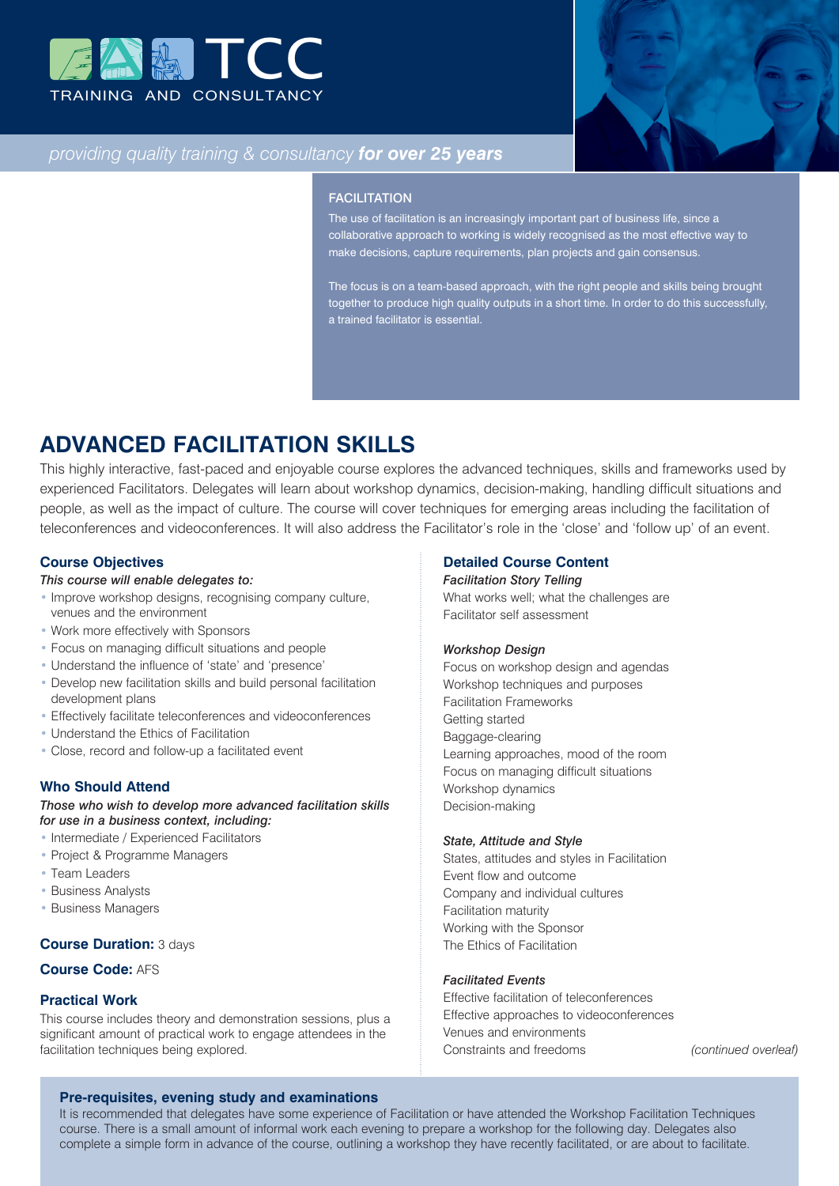



# *providing quality training & consultancy for over 25 years*

#### **FACILITATION**

The use of facilitation is an increasingly important part of business life, since a collaborative approach to working is widely recognised as the most effective way to make decisions, capture requirements, plan projects and gain consensus.

The focus is on a team-based approach, with the right people and skills being brought together to produce high quality outputs in a short time. In order to do this successfully, a trained facilitator is essential.

# **ADVANCED FACILITATION SKILLS**

This highly interactive, fast-paced and enjoyable course explores the advanced techniques, skills and frameworks used by experienced Facilitators. Delegates will learn about workshop dynamics, decision-making, handling difficult situations and people, as well as the impact of culture. The course will cover techniques for emerging areas including the facilitation of teleconferences and videoconferences. It will also address the Facilitator's role in the 'close' and 'follow up' of an event.

## **Course Objectives**

## *This course will enable delegates to:*

- Improve workshop designs, recognising company culture, venues and the environment
- Work more effectively with Sponsors
- Focus on managing difficult situations and people
- Understand the influence of 'state' and 'presence'
- Develop new facilitation skills and build personal facilitation development plans
- Effectively facilitate teleconferences and videoconferences
- Understand the Ethics of Facilitation
- Close, record and follow-up a facilitated event

#### **Who Should Attend**

*Those who wish to develop more advanced facilitation skills for use in a business context, including:*

- Intermediate / Experienced Facilitators
- Project & Programme Managers
- Team Leaders
- Business Analysts
- Business Managers

#### **Course Duration:** 3 days

## **Course Code:** AFS

#### **Practical Work**

This course includes theory and demonstration sessions, plus a significant amount of practical work to engage attendees in the facilitation techniques being explored.

#### **Detailed Course Content**

#### *Facilitation Story Telling*

What works well; what the challenges are Facilitator self assessment

#### *Workshop Design*

Focus on workshop design and agendas Workshop techniques and purposes Facilitation Frameworks Getting started Baggage-clearing Learning approaches, mood of the room Focus on managing difficult situations Workshop dynamics Decision-making

#### *State, Attitude and Style*

States, attitudes and styles in Facilitation Event flow and outcome Company and individual cultures Facilitation maturity Working with the Sponsor The Ethics of Facilitation

#### *Facilitated Events*

Effective facilitation of teleconferences Effective approaches to videoconferences Venues and environments Constraints and freedoms *(continued overleaf)*

#### **Pre-requisites, evening study and examinations**

It is recommended that delegates have some experience of Facilitation or have attended the Workshop Facilitation Techniques course. There is a small amount of informal work each evening to prepare a workshop for the following day. Delegates also complete a simple form in advance of the course, outlining a workshop they have recently facilitated, or are about to facilitate.